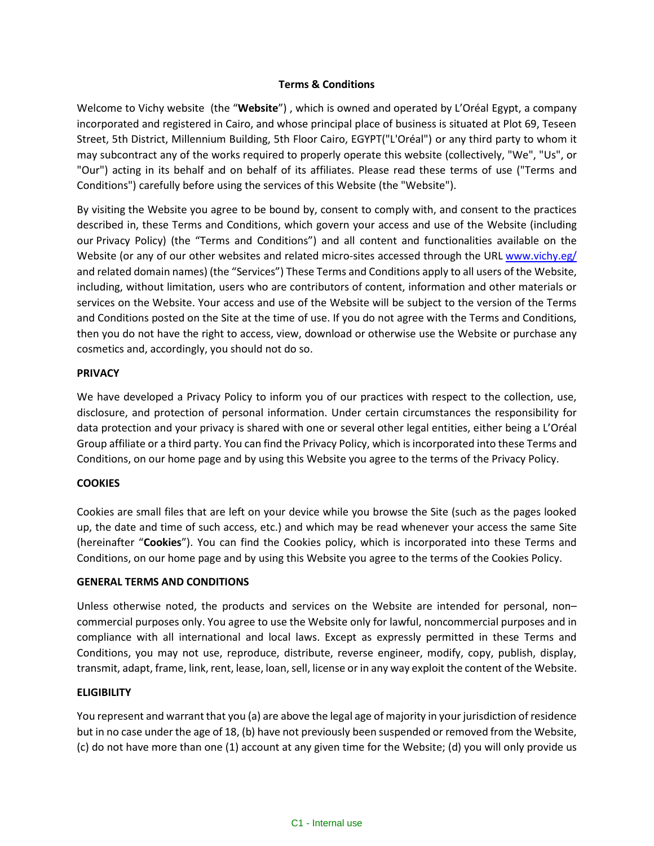### **Terms & Conditions**

Welcome to Vichy website (the "**Website**") , which is owned and operated by L'Oréal Egypt, a company incorporated and registered in Cairo, and whose principal place of business is situated at Plot 69, Teseen Street, 5th District, Millennium Building, 5th Floor Cairo, EGYPT("L'Oréal") or any third party to whom it may subcontract any of the works required to properly operate this website (collectively, "We", "Us", or "Our") acting in its behalf and on behalf of its affiliates. Please read these terms of use ("Terms and Conditions") carefully before using the services of this Website (the "Website").

By visiting the Website you agree to be bound by, consent to comply with, and consent to the practices described in, these Terms and Conditions, which govern your access and use of the Website (including our [Privacy Policy](https://www.yslbeauty.ae/en/privacy-cookie-policy.html)) (the "Terms and Conditions") and all content and functionalities available on the Website (or any of our other websites and related micro-sites accessed through the URL [www.vichy.eg/](http://www.vichy.eg/) and related domain names) (the "Services") These Terms and Conditions apply to all users of the Website, including, without limitation, users who are contributors of content, information and other materials or services on the Website. Your access and use of the Website will be subject to the version of the Terms and Conditions posted on the Site at the time of use. If you do not agree with the Terms and Conditions, then you do not have the right to access, view, download or otherwise use the Website or purchase any cosmetics and, accordingly, you should not do so.

### **PRIVACY**

We have developed a Privacy Policy to inform you of our practices with respect to the collection, use, disclosure, and protection of personal information. Under certain circumstances the responsibility for data protection and your privacy is shared with one or several other legal entities, either being a L'Oréal Group affiliate or a third party. You can find the Privacy Policy, which is incorporated into these Terms and Conditions, on our home page and by using this Website you agree to the terms of the Privacy Policy.

# **COOKIES**

Cookies are small files that are left on your device while you browse the Site (such as the pages looked up, the date and time of such access, etc.) and which may be read whenever your access the same Site (hereinafter "**Cookies**"). You can find the Cookies policy, which is incorporated into these Terms and Conditions, on our home page and by using this Website you agree to the terms of the Cookies Policy.

# **GENERAL TERMS AND CONDITIONS**

Unless otherwise noted, the products and services on the Website are intended for personal, non– commercial purposes only. You agree to use the Website only for lawful, noncommercial purposes and in compliance with all international and local laws. Except as expressly permitted in these Terms and Conditions, you may not use, reproduce, distribute, reverse engineer, modify, copy, publish, display, transmit, adapt, frame, link, rent, lease, loan, sell, license or in any way exploit the content of the Website.

#### **ELIGIBILITY**

You represent and warrant that you (a) are above the legal age of majority in your jurisdiction of residence but in no case under the age of 18, (b) have not previously been suspended or removed from the Website, (c) do not have more than one (1) account at any given time for the Website; (d) you will only provide us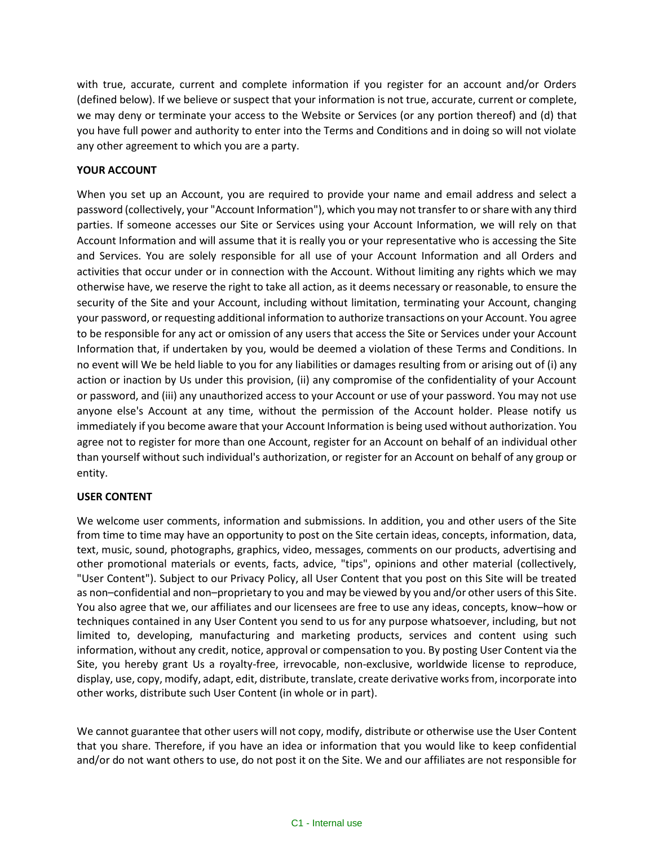with true, accurate, current and complete information if you register for an account and/or Orders (defined below). If we believe or suspect that your information is not true, accurate, current or complete, we may deny or terminate your access to the Website or Services (or any portion thereof) and (d) that you have full power and authority to enter into the Terms and Conditions and in doing so will not violate any other agreement to which you are a party.

# **YOUR ACCOUNT**

When you set up an Account, you are required to provide your name and email address and select a password (collectively, your "Account Information"), which you may not transfer to or share with any third parties. If someone accesses our Site or Services using your Account Information, we will rely on that Account Information and will assume that it is really you or your representative who is accessing the Site and Services. You are solely responsible for all use of your Account Information and all Orders and activities that occur under or in connection with the Account. Without limiting any rights which we may otherwise have, we reserve the right to take all action, as it deems necessary or reasonable, to ensure the security of the Site and your Account, including without limitation, terminating your Account, changing your password, or requesting additional information to authorize transactions on your Account. You agree to be responsible for any act or omission of any users that access the Site or Services under your Account Information that, if undertaken by you, would be deemed a violation of these Terms and Conditions. In no event will We be held liable to you for any liabilities or damages resulting from or arising out of (i) any action or inaction by Us under this provision, (ii) any compromise of the confidentiality of your Account or password, and (iii) any unauthorized access to your Account or use of your password. You may not use anyone else's Account at any time, without the permission of the Account holder. Please notify us immediately if you become aware that your Account Information is being used without authorization. You agree not to register for more than one Account, register for an Account on behalf of an individual other than yourself without such individual's authorization, or register for an Account on behalf of any group or entity.

# **USER CONTENT**

We welcome user comments, information and submissions. In addition, you and other users of the Site from time to time may have an opportunity to post on the Site certain ideas, concepts, information, data, text, music, sound, photographs, graphics, video, messages, comments on our products, advertising and other promotional materials or events, facts, advice, "tips", opinions and other material (collectively, "User Content"). Subject to our Privacy Policy, all User Content that you post on this Site will be treated as non–confidential and non–proprietary to you and may be viewed by you and/or other users of this Site. You also agree that we, our affiliates and our licensees are free to use any ideas, concepts, know–how or techniques contained in any User Content you send to us for any purpose whatsoever, including, but not limited to, developing, manufacturing and marketing products, services and content using such information, without any credit, notice, approval or compensation to you. By posting User Content via the Site, you hereby grant Us a royalty-free, irrevocable, non-exclusive, worldwide license to reproduce, display, use, copy, modify, adapt, edit, distribute, translate, create derivative works from, incorporate into other works, distribute such User Content (in whole or in part).

We cannot guarantee that other users will not copy, modify, distribute or otherwise use the User Content that you share. Therefore, if you have an idea or information that you would like to keep confidential and/or do not want others to use, do not post it on the Site. We and our affiliates are not responsible for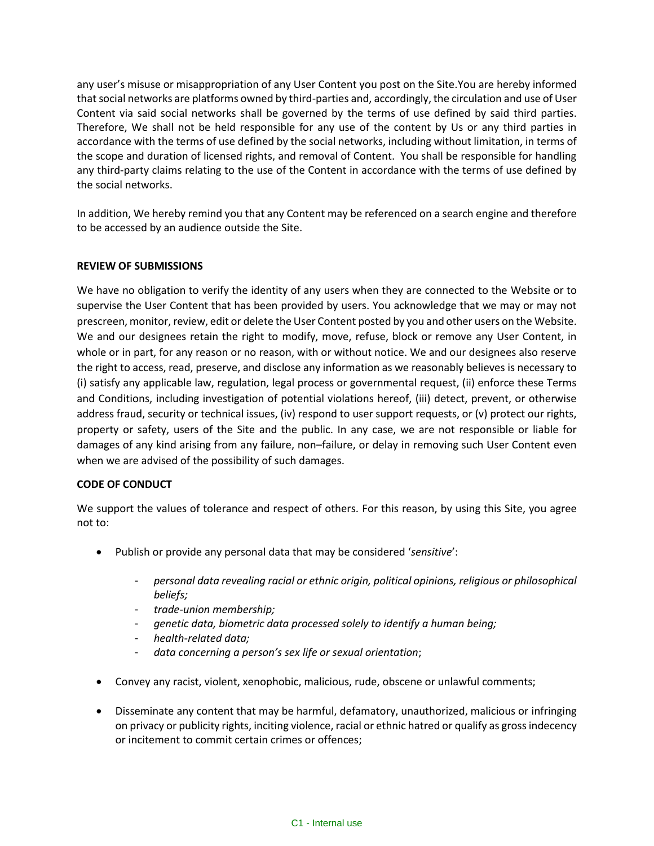any user's misuse or misappropriation of any User Content you post on the Site.You are hereby informed that social networks are platforms owned by third-parties and, accordingly, the circulation and use of User Content via said social networks shall be governed by the terms of use defined by said third parties. Therefore, We shall not be held responsible for any use of the content by Us or any third parties in accordance with the terms of use defined by the social networks, including without limitation, in terms of the scope and duration of licensed rights, and removal of Content. You shall be responsible for handling any third-party claims relating to the use of the Content in accordance with the terms of use defined by the social networks.

In addition, We hereby remind you that any Content may be referenced on a search engine and therefore to be accessed by an audience outside the Site.

### **REVIEW OF SUBMISSIONS**

We have no obligation to verify the identity of any users when they are connected to the Website or to supervise the User Content that has been provided by users. You acknowledge that we may or may not prescreen, monitor, review, edit or delete the User Content posted by you and other users on the Website. We and our designees retain the right to modify, move, refuse, block or remove any User Content, in whole or in part, for any reason or no reason, with or without notice. We and our designees also reserve the right to access, read, preserve, and disclose any information as we reasonably believes is necessary to (i) satisfy any applicable law, regulation, legal process or governmental request, (ii) enforce these Terms and Conditions, including investigation of potential violations hereof, (iii) detect, prevent, or otherwise address fraud, security or technical issues, (iv) respond to user support requests, or (v) protect our rights, property or safety, users of the Site and the public. In any case, we are not responsible or liable for damages of any kind arising from any failure, non–failure, or delay in removing such User Content even when we are advised of the possibility of such damages.

#### **CODE OF CONDUCT**

We support the values of tolerance and respect of others. For this reason, by using this Site, you agree not to:

- Publish or provide any personal data that may be considered '*sensitive*':
	- *personal data revealing racial or ethnic origin, political opinions, religious or philosophical beliefs;*
	- *trade-union membership;*
	- *genetic data, biometric data processed solely to identify a human being;*
	- *health-related data;*
	- *data concerning a person's sex life or sexual orientation*;
- Convey any racist, violent, xenophobic, malicious, rude, obscene or unlawful comments;
- Disseminate any content that may be harmful, defamatory, unauthorized, malicious or infringing on privacy or publicity rights, inciting violence, racial or ethnic hatred or qualify as gross indecency or incitement to commit certain crimes or offences;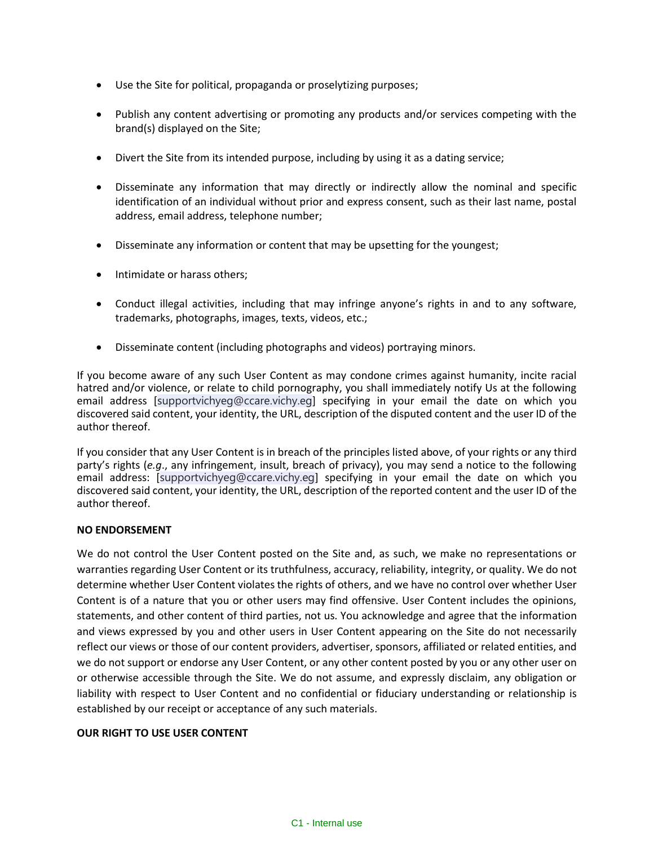- Use the Site for political, propaganda or proselytizing purposes;
- Publish any content advertising or promoting any products and/or services competing with the brand(s) displayed on the Site;
- Divert the Site from its intended purpose, including by using it as a dating service;
- Disseminate any information that may directly or indirectly allow the nominal and specific identification of an individual without prior and express consent, such as their last name, postal address, email address, telephone number;
- Disseminate any information or content that may be upsetting for the youngest;
- Intimidate or harass others;
- Conduct illegal activities, including that may infringe anyone's rights in and to any software, trademarks, photographs, images, texts, videos, etc.;
- Disseminate content (including photographs and videos) portraying minors.

If you become aware of any such User Content as may condone crimes against humanity, incite racial hatred and/or violence, or relate to child pornography, you shall immediately notify Us at the following email address [supportvichyeg@ccare.vichy.eg] specifying in your email the date on which you discovered said content, your identity, the URL, description of the disputed content and the user ID of the author thereof.

If you consider that any User Content is in breach of the principles listed above, of your rights or any third party's rights (*e.g*., any infringement, insult, breach of privacy), you may send a notice to the following email address: [supportvichyeg@ccare.vichy.eg] specifying in your email the date on which you discovered said content, your identity, the URL, description of the reported content and the user ID of the author thereof.

# **NO ENDORSEMENT**

We do not control the User Content posted on the Site and, as such, we make no representations or warranties regarding User Content or its truthfulness, accuracy, reliability, integrity, or quality. We do not determine whether User Content violates the rights of others, and we have no control over whether User Content is of a nature that you or other users may find offensive. User Content includes the opinions, statements, and other content of third parties, not us. You acknowledge and agree that the information and views expressed by you and other users in User Content appearing on the Site do not necessarily reflect our views or those of our content providers, advertiser, sponsors, affiliated or related entities, and we do not support or endorse any User Content, or any other content posted by you or any other user on or otherwise accessible through the Site. We do not assume, and expressly disclaim, any obligation or liability with respect to User Content and no confidential or fiduciary understanding or relationship is established by our receipt or acceptance of any such materials.

#### **OUR RIGHT TO USE USER CONTENT**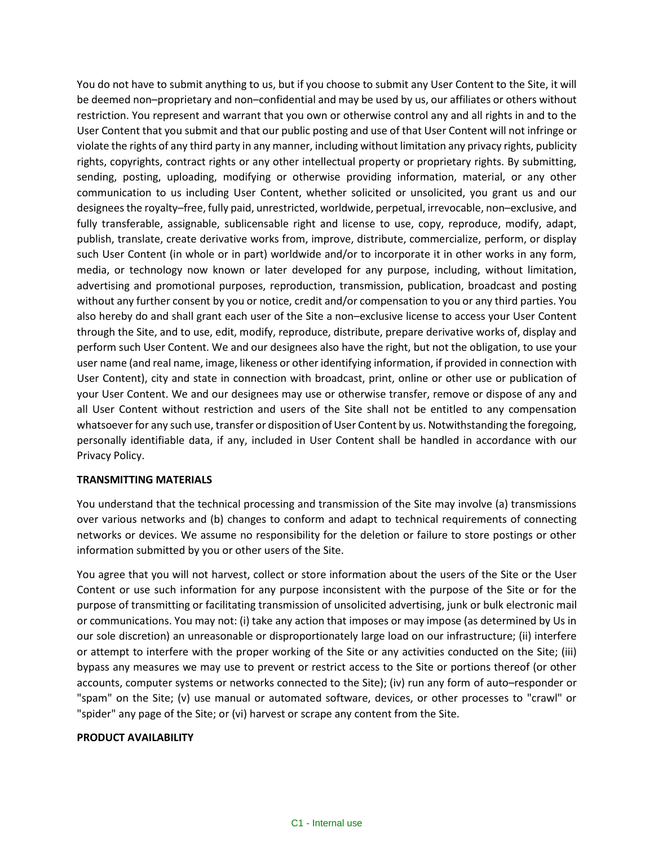You do not have to submit anything to us, but if you choose to submit any User Content to the Site, it will be deemed non–proprietary and non–confidential and may be used by us, our affiliates or others without restriction. You represent and warrant that you own or otherwise control any and all rights in and to the User Content that you submit and that our public posting and use of that User Content will not infringe or violate the rights of any third party in any manner, including without limitation any privacy rights, publicity rights, copyrights, contract rights or any other intellectual property or proprietary rights. By submitting, sending, posting, uploading, modifying or otherwise providing information, material, or any other communication to us including User Content, whether solicited or unsolicited, you grant us and our designees the royalty–free, fully paid, unrestricted, worldwide, perpetual, irrevocable, non–exclusive, and fully transferable, assignable, sublicensable right and license to use, copy, reproduce, modify, adapt, publish, translate, create derivative works from, improve, distribute, commercialize, perform, or display such User Content (in whole or in part) worldwide and/or to incorporate it in other works in any form, media, or technology now known or later developed for any purpose, including, without limitation, advertising and promotional purposes, reproduction, transmission, publication, broadcast and posting without any further consent by you or notice, credit and/or compensation to you or any third parties. You also hereby do and shall grant each user of the Site a non–exclusive license to access your User Content through the Site, and to use, edit, modify, reproduce, distribute, prepare derivative works of, display and perform such User Content. We and our designees also have the right, but not the obligation, to use your user name (and real name, image, likeness or other identifying information, if provided in connection with User Content), city and state in connection with broadcast, print, online or other use or publication of your User Content. We and our designees may use or otherwise transfer, remove or dispose of any and all User Content without restriction and users of the Site shall not be entitled to any compensation whatsoever for any such use, transfer or disposition of User Content by us. Notwithstanding the foregoing, personally identifiable data, if any, included in User Content shall be handled in accordance with our Privacy Policy.

#### **TRANSMITTING MATERIALS**

You understand that the technical processing and transmission of the Site may involve (a) transmissions over various networks and (b) changes to conform and adapt to technical requirements of connecting networks or devices. We assume no responsibility for the deletion or failure to store postings or other information submitted by you or other users of the Site.

You agree that you will not harvest, collect or store information about the users of the Site or the User Content or use such information for any purpose inconsistent with the purpose of the Site or for the purpose of transmitting or facilitating transmission of unsolicited advertising, junk or bulk electronic mail or communications. You may not: (i) take any action that imposes or may impose (as determined by Us in our sole discretion) an unreasonable or disproportionately large load on our infrastructure; (ii) interfere or attempt to interfere with the proper working of the Site or any activities conducted on the Site; (iii) bypass any measures we may use to prevent or restrict access to the Site or portions thereof (or other accounts, computer systems or networks connected to the Site); (iv) run any form of auto–responder or "spam" on the Site; (v) use manual or automated software, devices, or other processes to "crawl" or "spider" any page of the Site; or (vi) harvest or scrape any content from the Site.

#### **PRODUCT AVAILABILITY**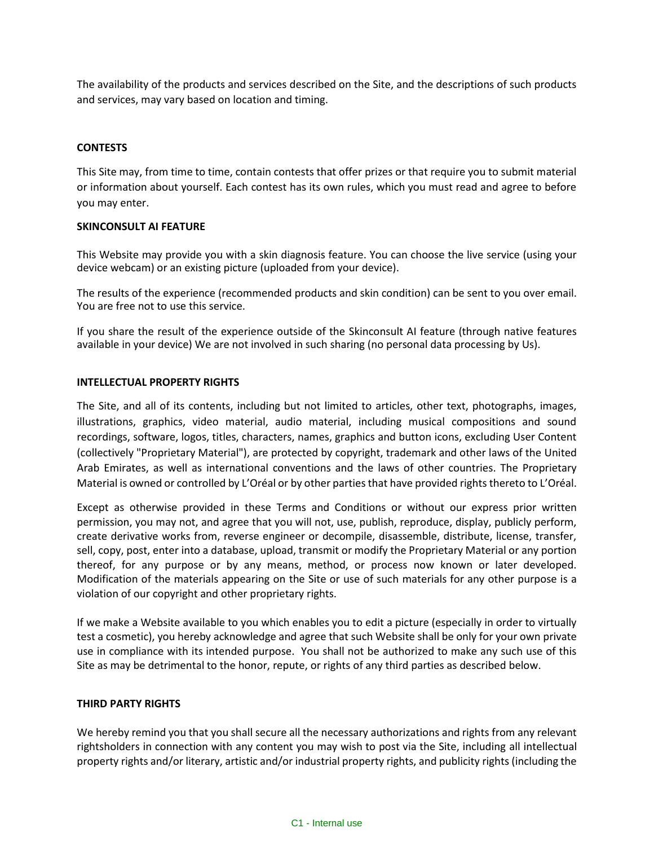The availability of the products and services described on the Site, and the descriptions of such products and services, may vary based on location and timing.

### **CONTESTS**

This Site may, from time to time, contain contests that offer prizes or that require you to submit material or information about yourself. Each contest has its own rules, which you must read and agree to before you may enter.

#### **SKINCONSULT AI FEATURE**

This Website may provide you with a skin diagnosis feature. You can choose the live service (using your device webcam) or an existing picture (uploaded from your device).

The results of the experience (recommended products and skin condition) can be sent to you over email. You are free not to use this service.

If you share the result of the experience outside of the Skinconsult AI feature (through native features available in your device) We are not involved in such sharing (no personal data processing by Us).

#### **INTELLECTUAL PROPERTY RIGHTS**

The Site, and all of its contents, including but not limited to articles, other text, photographs, images, illustrations, graphics, video material, audio material, including musical compositions and sound recordings, software, logos, titles, characters, names, graphics and button icons, excluding User Content (collectively "Proprietary Material"), are protected by copyright, trademark and other laws of the United Arab Emirates, as well as international conventions and the laws of other countries. The Proprietary Material is owned or controlled by L'Oréal or by other parties that have provided rights thereto to L'Oréal.

Except as otherwise provided in these Terms and Conditions or without our express prior written permission, you may not, and agree that you will not, use, publish, reproduce, display, publicly perform, create derivative works from, reverse engineer or decompile, disassemble, distribute, license, transfer, sell, copy, post, enter into a database, upload, transmit or modify the Proprietary Material or any portion thereof, for any purpose or by any means, method, or process now known or later developed. Modification of the materials appearing on the Site or use of such materials for any other purpose is a violation of our copyright and other proprietary rights.

If we make a Website available to you which enables you to edit a picture (especially in order to virtually test a cosmetic), you hereby acknowledge and agree that such Website shall be only for your own private use in compliance with its intended purpose. You shall not be authorized to make any such use of this Site as may be detrimental to the honor, repute, or rights of any third parties as described below.

#### **THIRD PARTY RIGHTS**

We hereby remind you that you shall secure all the necessary authorizations and rights from any relevant rightsholders in connection with any content you may wish to post via the Site, including all intellectual property rights and/or literary, artistic and/or industrial property rights, and publicity rights (including the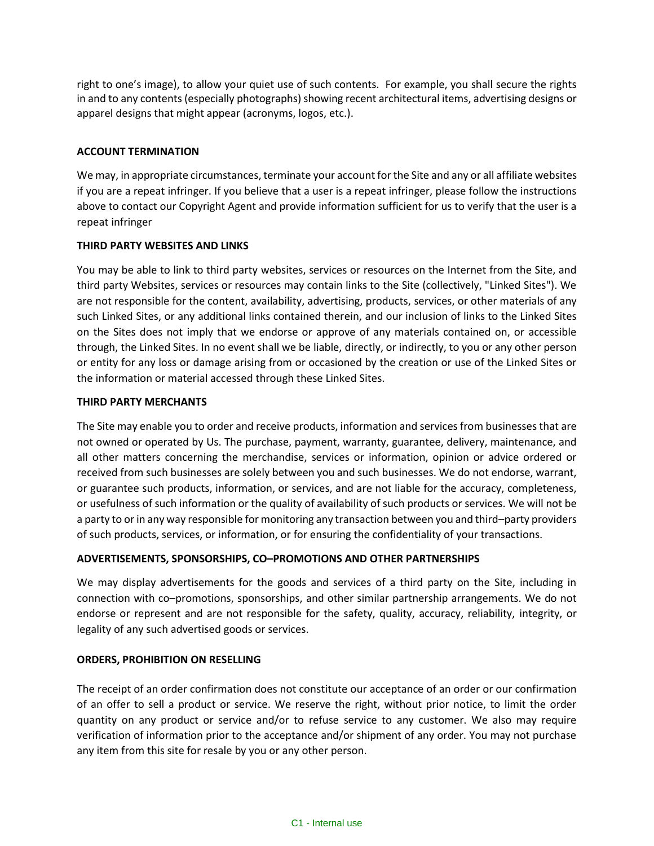right to one's image), to allow your quiet use of such contents. For example, you shall secure the rights in and to any contents(especially photographs) showing recent architectural items, advertising designs or apparel designs that might appear (acronyms, logos, etc.).

# **ACCOUNT TERMINATION**

We may, in appropriate circumstances, terminate your account for the Site and any or all affiliate websites if you are a repeat infringer. If you believe that a user is a repeat infringer, please follow the instructions above to contact our Copyright Agent and provide information sufficient for us to verify that the user is a repeat infringer

### **THIRD PARTY WEBSITES AND LINKS**

You may be able to link to third party websites, services or resources on the Internet from the Site, and third party Websites, services or resources may contain links to the Site (collectively, "Linked Sites"). We are not responsible for the content, availability, advertising, products, services, or other materials of any such Linked Sites, or any additional links contained therein, and our inclusion of links to the Linked Sites on the Sites does not imply that we endorse or approve of any materials contained on, or accessible through, the Linked Sites. In no event shall we be liable, directly, or indirectly, to you or any other person or entity for any loss or damage arising from or occasioned by the creation or use of the Linked Sites or the information or material accessed through these Linked Sites.

### **THIRD PARTY MERCHANTS**

The Site may enable you to order and receive products, information and services from businesses that are not owned or operated by Us. The purchase, payment, warranty, guarantee, delivery, maintenance, and all other matters concerning the merchandise, services or information, opinion or advice ordered or received from such businesses are solely between you and such businesses. We do not endorse, warrant, or guarantee such products, information, or services, and are not liable for the accuracy, completeness, or usefulness of such information or the quality of availability of such products or services. We will not be a party to or in any way responsible for monitoring any transaction between you and third–party providers of such products, services, or information, or for ensuring the confidentiality of your transactions.

# **ADVERTISEMENTS, SPONSORSHIPS, CO–PROMOTIONS AND OTHER PARTNERSHIPS**

We may display advertisements for the goods and services of a third party on the Site, including in connection with co–promotions, sponsorships, and other similar partnership arrangements. We do not endorse or represent and are not responsible for the safety, quality, accuracy, reliability, integrity, or legality of any such advertised goods or services.

#### **ORDERS, PROHIBITION ON RESELLING**

The receipt of an order confirmation does not constitute our acceptance of an order or our confirmation of an offer to sell a product or service. We reserve the right, without prior notice, to limit the order quantity on any product or service and/or to refuse service to any customer. We also may require verification of information prior to the acceptance and/or shipment of any order. You may not purchase any item from this site for resale by you or any other person.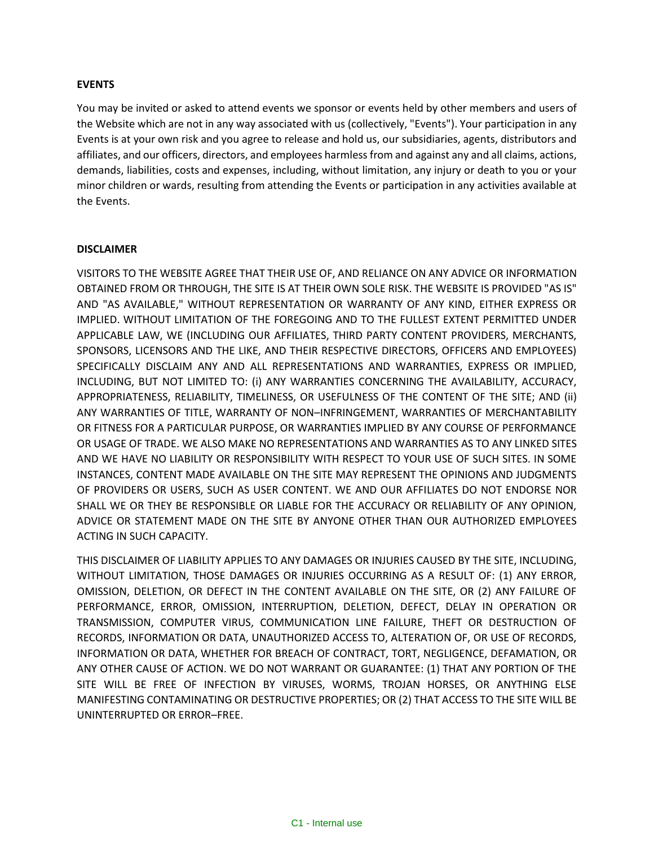### **EVENTS**

You may be invited or asked to attend events we sponsor or events held by other members and users of the Website which are not in any way associated with us (collectively, "Events"). Your participation in any Events is at your own risk and you agree to release and hold us, our subsidiaries, agents, distributors and affiliates, and our officers, directors, and employees harmless from and against any and all claims, actions, demands, liabilities, costs and expenses, including, without limitation, any injury or death to you or your minor children or wards, resulting from attending the Events or participation in any activities available at the Events.

### **DISCLAIMER**

VISITORS TO THE WEBSITE AGREE THAT THEIR USE OF, AND RELIANCE ON ANY ADVICE OR INFORMATION OBTAINED FROM OR THROUGH, THE SITE IS AT THEIR OWN SOLE RISK. THE WEBSITE IS PROVIDED "AS IS" AND "AS AVAILABLE," WITHOUT REPRESENTATION OR WARRANTY OF ANY KIND, EITHER EXPRESS OR IMPLIED. WITHOUT LIMITATION OF THE FOREGOING AND TO THE FULLEST EXTENT PERMITTED UNDER APPLICABLE LAW, WE (INCLUDING OUR AFFILIATES, THIRD PARTY CONTENT PROVIDERS, MERCHANTS, SPONSORS, LICENSORS AND THE LIKE, AND THEIR RESPECTIVE DIRECTORS, OFFICERS AND EMPLOYEES) SPECIFICALLY DISCLAIM ANY AND ALL REPRESENTATIONS AND WARRANTIES, EXPRESS OR IMPLIED, INCLUDING, BUT NOT LIMITED TO: (i) ANY WARRANTIES CONCERNING THE AVAILABILITY, ACCURACY, APPROPRIATENESS, RELIABILITY, TIMELINESS, OR USEFULNESS OF THE CONTENT OF THE SITE; AND (ii) ANY WARRANTIES OF TITLE, WARRANTY OF NON–INFRINGEMENT, WARRANTIES OF MERCHANTABILITY OR FITNESS FOR A PARTICULAR PURPOSE, OR WARRANTIES IMPLIED BY ANY COURSE OF PERFORMANCE OR USAGE OF TRADE. WE ALSO MAKE NO REPRESENTATIONS AND WARRANTIES AS TO ANY LINKED SITES AND WE HAVE NO LIABILITY OR RESPONSIBILITY WITH RESPECT TO YOUR USE OF SUCH SITES. IN SOME INSTANCES, CONTENT MADE AVAILABLE ON THE SITE MAY REPRESENT THE OPINIONS AND JUDGMENTS OF PROVIDERS OR USERS, SUCH AS USER CONTENT. WE AND OUR AFFILIATES DO NOT ENDORSE NOR SHALL WE OR THEY BE RESPONSIBLE OR LIABLE FOR THE ACCURACY OR RELIABILITY OF ANY OPINION, ADVICE OR STATEMENT MADE ON THE SITE BY ANYONE OTHER THAN OUR AUTHORIZED EMPLOYEES ACTING IN SUCH CAPACITY.

THIS DISCLAIMER OF LIABILITY APPLIES TO ANY DAMAGES OR INJURIES CAUSED BY THE SITE, INCLUDING, WITHOUT LIMITATION, THOSE DAMAGES OR INJURIES OCCURRING AS A RESULT OF: (1) ANY ERROR, OMISSION, DELETION, OR DEFECT IN THE CONTENT AVAILABLE ON THE SITE, OR (2) ANY FAILURE OF PERFORMANCE, ERROR, OMISSION, INTERRUPTION, DELETION, DEFECT, DELAY IN OPERATION OR TRANSMISSION, COMPUTER VIRUS, COMMUNICATION LINE FAILURE, THEFT OR DESTRUCTION OF RECORDS, INFORMATION OR DATA, UNAUTHORIZED ACCESS TO, ALTERATION OF, OR USE OF RECORDS, INFORMATION OR DATA, WHETHER FOR BREACH OF CONTRACT, TORT, NEGLIGENCE, DEFAMATION, OR ANY OTHER CAUSE OF ACTION. WE DO NOT WARRANT OR GUARANTEE: (1) THAT ANY PORTION OF THE SITE WILL BE FREE OF INFECTION BY VIRUSES, WORMS, TROJAN HORSES, OR ANYTHING ELSE MANIFESTING CONTAMINATING OR DESTRUCTIVE PROPERTIES; OR (2) THAT ACCESS TO THE SITE WILL BE UNINTERRUPTED OR ERROR–FREE.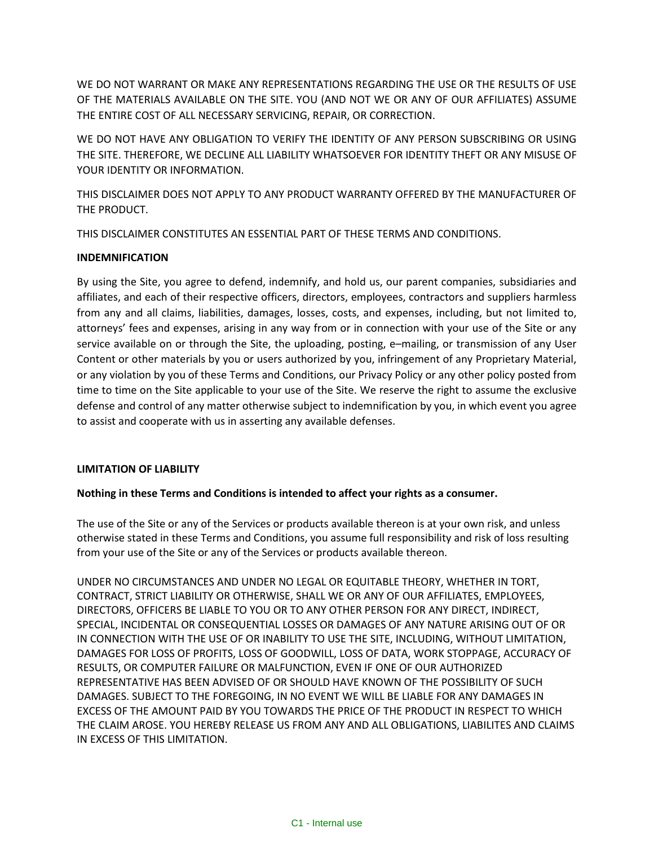WE DO NOT WARRANT OR MAKE ANY REPRESENTATIONS REGARDING THE USE OR THE RESULTS OF USE OF THE MATERIALS AVAILABLE ON THE SITE. YOU (AND NOT WE OR ANY OF OUR AFFILIATES) ASSUME THE ENTIRE COST OF ALL NECESSARY SERVICING, REPAIR, OR CORRECTION.

WE DO NOT HAVE ANY OBLIGATION TO VERIFY THE IDENTITY OF ANY PERSON SUBSCRIBING OR USING THE SITE. THEREFORE, WE DECLINE ALL LIABILITY WHATSOEVER FOR IDENTITY THEFT OR ANY MISUSE OF YOUR IDENTITY OR INFORMATION.

THIS DISCLAIMER DOES NOT APPLY TO ANY PRODUCT WARRANTY OFFERED BY THE MANUFACTURER OF THE PRODUCT.

THIS DISCLAIMER CONSTITUTES AN ESSENTIAL PART OF THESE TERMS AND CONDITIONS.

# **INDEMNIFICATION**

By using the Site, you agree to defend, indemnify, and hold us, our parent companies, subsidiaries and affiliates, and each of their respective officers, directors, employees, contractors and suppliers harmless from any and all claims, liabilities, damages, losses, costs, and expenses, including, but not limited to, attorneys' fees and expenses, arising in any way from or in connection with your use of the Site or any service available on or through the Site, the uploading, posting, e–mailing, or transmission of any User Content or other materials by you or users authorized by you, infringement of any Proprietary Material, or any violation by you of these Terms and Conditions, our Privacy Policy or any other policy posted from time to time on the Site applicable to your use of the Site. We reserve the right to assume the exclusive defense and control of any matter otherwise subject to indemnification by you, in which event you agree to assist and cooperate with us in asserting any available defenses.

# **LIMITATION OF LIABILITY**

# **Nothing in these Terms and Conditions is intended to affect your rights as a consumer.**

The use of the Site or any of the Services or products available thereon is at your own risk, and unless otherwise stated in these Terms and Conditions, you assume full responsibility and risk of loss resulting from your use of the Site or any of the Services or products available thereon.

UNDER NO CIRCUMSTANCES AND UNDER NO LEGAL OR EQUITABLE THEORY, WHETHER IN TORT, CONTRACT, STRICT LIABILITY OR OTHERWISE, SHALL WE OR ANY OF OUR AFFILIATES, EMPLOYEES, DIRECTORS, OFFICERS BE LIABLE TO YOU OR TO ANY OTHER PERSON FOR ANY DIRECT, INDIRECT, SPECIAL, INCIDENTAL OR CONSEQUENTIAL LOSSES OR DAMAGES OF ANY NATURE ARISING OUT OF OR IN CONNECTION WITH THE USE OF OR INABILITY TO USE THE SITE, INCLUDING, WITHOUT LIMITATION, DAMAGES FOR LOSS OF PROFITS, LOSS OF GOODWILL, LOSS OF DATA, WORK STOPPAGE, ACCURACY OF RESULTS, OR COMPUTER FAILURE OR MALFUNCTION, EVEN IF ONE OF OUR AUTHORIZED REPRESENTATIVE HAS BEEN ADVISED OF OR SHOULD HAVE KNOWN OF THE POSSIBILITY OF SUCH DAMAGES. SUBJECT TO THE FOREGOING, IN NO EVENT WE WILL BE LIABLE FOR ANY DAMAGES IN EXCESS OF THE AMOUNT PAID BY YOU TOWARDS THE PRICE OF THE PRODUCT IN RESPECT TO WHICH THE CLAIM AROSE. YOU HEREBY RELEASE US FROM ANY AND ALL OBLIGATIONS, LIABILITES AND CLAIMS IN EXCESS OF THIS LIMITATION.